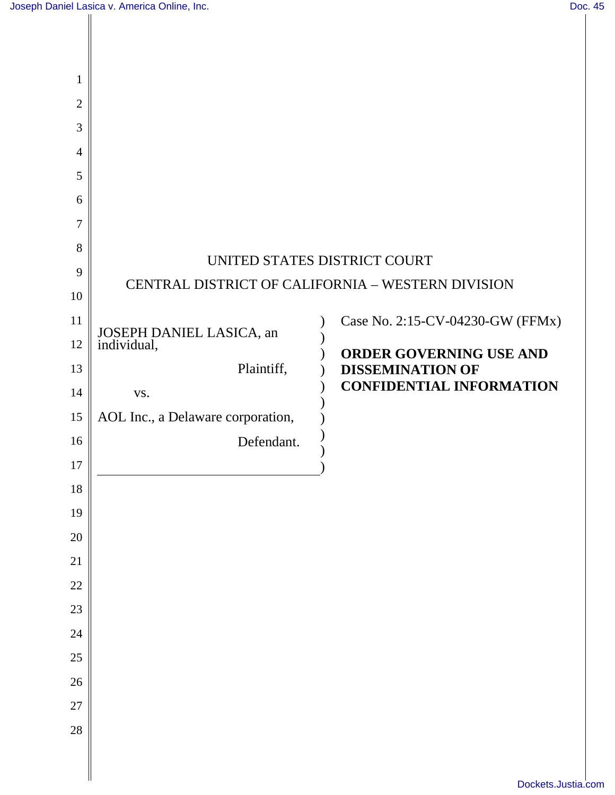Ш

| $\mathbf{1}$   |                                      |                                                   |
|----------------|--------------------------------------|---------------------------------------------------|
| $\overline{2}$ |                                      |                                                   |
| $\mathfrak{Z}$ |                                      |                                                   |
| $\overline{4}$ |                                      |                                                   |
| 5              |                                      |                                                   |
| 6              |                                      |                                                   |
| $\overline{7}$ |                                      |                                                   |
| 8              |                                      | UNITED STATES DISTRICT COURT                      |
| 9              |                                      | CENTRAL DISTRICT OF CALIFORNIA - WESTERN DIVISION |
| 10             |                                      |                                                   |
| 11             |                                      | Case No. 2:15-CV-04230-GW (FFMx)                  |
| 12             | JOSEPH DANIEL LASICA, an individual, | ORDER GOVERNING USE AND                           |
| 13             | Plaintiff,                           | <b>DISSEMINATION OF</b>                           |
| 14             | VS.                                  | <b>CONFIDENTIAL INFORMATION</b>                   |
| 15             | AOL Inc., a Delaware corporation,    |                                                   |
| 16             | Defendant.                           |                                                   |
| 17             |                                      |                                                   |
| 18             |                                      |                                                   |
| 19             |                                      |                                                   |
| $20\,$         |                                      |                                                   |
| 21             |                                      |                                                   |
| $22\,$         |                                      |                                                   |
| 23             |                                      |                                                   |
| $24\,$         |                                      |                                                   |
| 25             |                                      |                                                   |
| $26\,$         |                                      |                                                   |
| $27\,$         |                                      |                                                   |
| 28             |                                      |                                                   |
|                |                                      |                                                   |
|                |                                      |                                                   |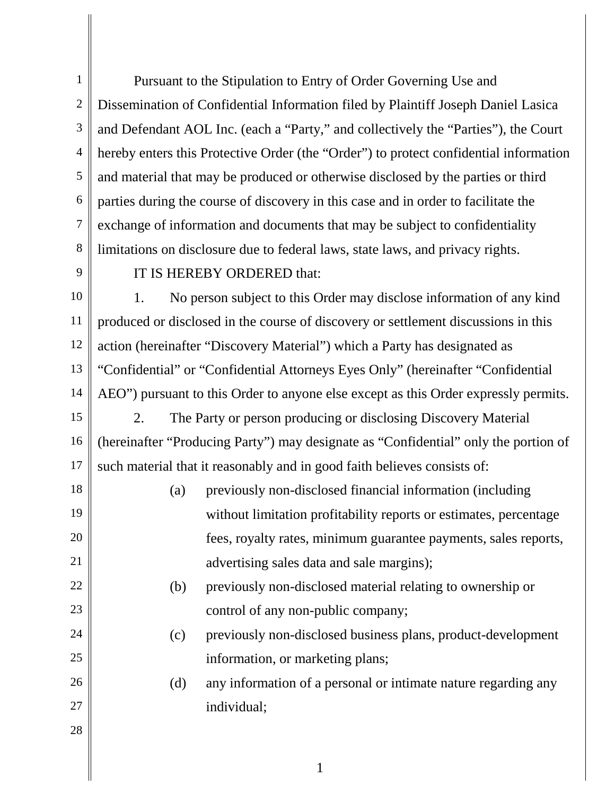1 2 3 4 5 6 7 8 Pursuant to the Stipulation to Entry of Order Governing Use and Dissemination of Confidential Information filed by Plaintiff Joseph Daniel Lasica and Defendant AOL Inc. (each a "Party," and collectively the "Parties"), the Court hereby enters this Protective Order (the "Order") to protect confidential information and material that may be produced or otherwise disclosed by the parties or third parties during the course of discovery in this case and in order to facilitate the exchange of information and documents that may be subject to confidentiality limitations on disclosure due to federal laws, state laws, and privacy rights.

9

## IT IS HEREBY ORDERED that:

10 11 12 13 14 1. No person subject to this Order may disclose information of any kind produced or disclosed in the course of discovery or settlement discussions in this action (hereinafter "Discovery Material") which a Party has designated as "Confidential" or "Confidential Attorneys Eyes Only" (hereinafter "Confidential AEO") pursuant to this Order to anyone else except as this Order expressly permits.

15 16 17 2. The Party or person producing or disclosing Discovery Material (hereinafter "Producing Party") may designate as "Confidential" only the portion of such material that it reasonably and in good faith believes consists of:

- 18 19 20 21 (a) previously non-disclosed financial information (including without limitation profitability reports or estimates, percentage fees, royalty rates, minimum guarantee payments, sales reports, advertising sales data and sale margins);
	- (b) previously non-disclosed material relating to ownership or control of any non-public company;
	- (c) previously non-disclosed business plans, product-development information, or marketing plans;
	- (d) any information of a personal or intimate nature regarding any individual;

28

27

22

23

24

25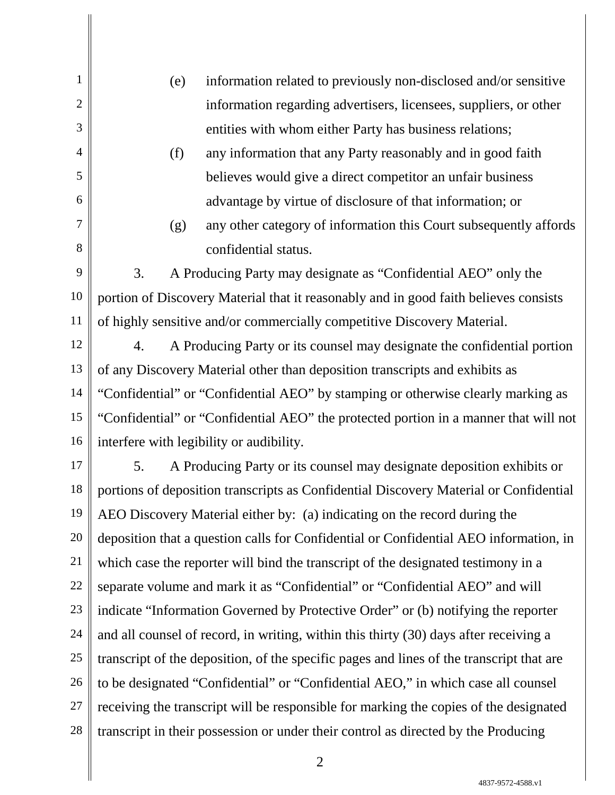(e) information related to previously non-disclosed and/or sensitive information regarding advertisers, licensees, suppliers, or other entities with whom either Party has business relations;

1

2

3

4

5

6

7

8

- (f) any information that any Party reasonably and in good faith believes would give a direct competitor an unfair business advantage by virtue of disclosure of that information; or
- (g) any other category of information this Court subsequently affords confidential status.

9 10 11 3. A Producing Party may designate as "Confidential AEO" only the portion of Discovery Material that it reasonably and in good faith believes consists of highly sensitive and/or commercially competitive Discovery Material.

12 13 14 15 16 4. A Producing Party or its counsel may designate the confidential portion of any Discovery Material other than deposition transcripts and exhibits as "Confidential" or "Confidential AEO" by stamping or otherwise clearly marking as "Confidential" or "Confidential AEO" the protected portion in a manner that will not interfere with legibility or audibility.

17 18 19 20 21 22 23 24 25 26 27 28 5. A Producing Party or its counsel may designate deposition exhibits or portions of deposition transcripts as Confidential Discovery Material or Confidential AEO Discovery Material either by: (a) indicating on the record during the deposition that a question calls for Confidential or Confidential AEO information, in which case the reporter will bind the transcript of the designated testimony in a separate volume and mark it as "Confidential" or "Confidential AEO" and will indicate "Information Governed by Protective Order" or (b) notifying the reporter and all counsel of record, in writing, within this thirty (30) days after receiving a transcript of the deposition, of the specific pages and lines of the transcript that are to be designated "Confidential" or "Confidential AEO," in which case all counsel receiving the transcript will be responsible for marking the copies of the designated transcript in their possession or under their control as directed by the Producing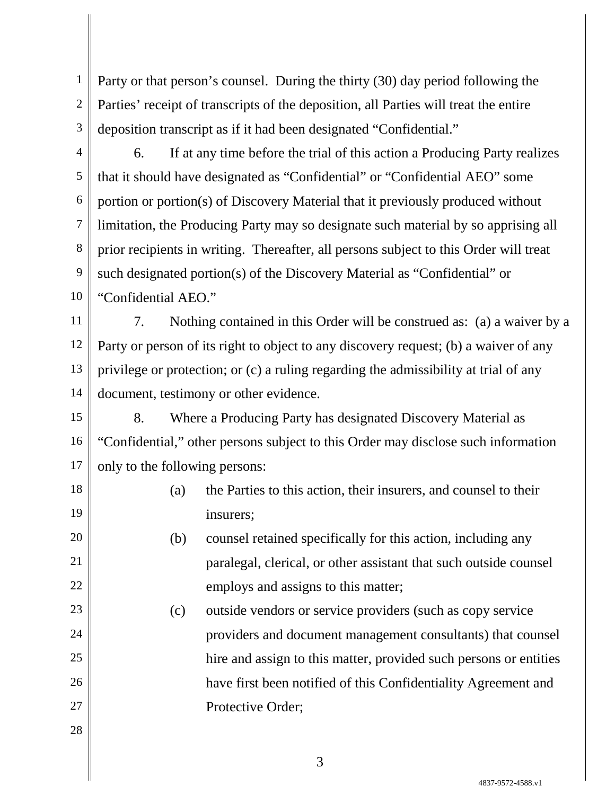1 2 3 Party or that person's counsel. During the thirty (30) day period following the Parties' receipt of transcripts of the deposition, all Parties will treat the entire deposition transcript as if it had been designated "Confidential."

4 5 6 7 8 9 10 6. If at any time before the trial of this action a Producing Party realizes that it should have designated as "Confidential" or "Confidential AEO" some portion or portion(s) of Discovery Material that it previously produced without limitation, the Producing Party may so designate such material by so apprising all prior recipients in writing. Thereafter, all persons subject to this Order will treat such designated portion(s) of the Discovery Material as "Confidential" or "Confidential AEO."

11 12 13 14 7. Nothing contained in this Order will be construed as: (a) a waiver by a Party or person of its right to object to any discovery request; (b) a waiver of any privilege or protection; or (c) a ruling regarding the admissibility at trial of any document, testimony or other evidence.

15 16 17 8. Where a Producing Party has designated Discovery Material as "Confidential," other persons subject to this Order may disclose such information only to the following persons:

> (a) the Parties to this action, their insurers, and counsel to their insurers;

(b) counsel retained specifically for this action, including any paralegal, clerical, or other assistant that such outside counsel employs and assigns to this matter;

(c) outside vendors or service providers (such as copy service providers and document management consultants) that counsel hire and assign to this matter, provided such persons or entities have first been notified of this Confidentiality Agreement and Protective Order;

28

27

18

19

20

21

22

23

24

25

26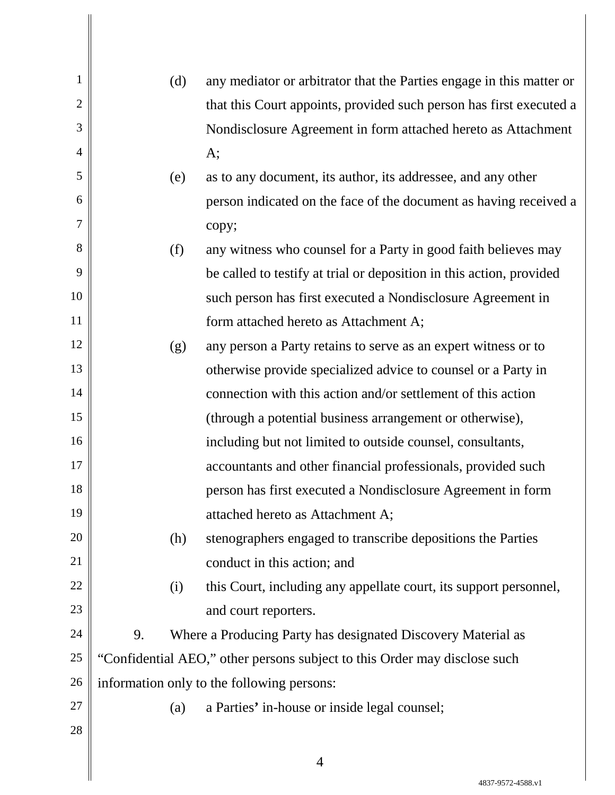| 1              | (d)                                                                       | any mediator or arbitrator that the Parties engage in this matter or |
|----------------|---------------------------------------------------------------------------|----------------------------------------------------------------------|
| $\overline{2}$ |                                                                           | that this Court appoints, provided such person has first executed a  |
| 3              |                                                                           | Nondisclosure Agreement in form attached hereto as Attachment        |
| $\overline{4}$ |                                                                           | A;                                                                   |
| 5              | (e)                                                                       | as to any document, its author, its addressee, and any other         |
| 6              |                                                                           | person indicated on the face of the document as having received a    |
| 7              |                                                                           | copy;                                                                |
| 8              | (f)                                                                       | any witness who counsel for a Party in good faith believes may       |
| 9              |                                                                           | be called to testify at trial or deposition in this action, provided |
| 10             |                                                                           | such person has first executed a Nondisclosure Agreement in          |
| 11             |                                                                           | form attached hereto as Attachment A;                                |
| 12             | (g)                                                                       | any person a Party retains to serve as an expert witness or to       |
| 13             |                                                                           | otherwise provide specialized advice to counsel or a Party in        |
| 14             |                                                                           | connection with this action and/or settlement of this action         |
| 15             |                                                                           | (through a potential business arrangement or otherwise),             |
| 16             |                                                                           | including but not limited to outside counsel, consultants,           |
| 17             |                                                                           | accountants and other financial professionals, provided such         |
| 18             |                                                                           | person has first executed a Nondisclosure Agreement in form          |
| 19             |                                                                           | attached hereto as Attachment A;                                     |
| 20             | (h)                                                                       | stenographers engaged to transcribe depositions the Parties          |
| 21             |                                                                           | conduct in this action; and                                          |
| 22             | (i)                                                                       | this Court, including any appellate court, its support personnel,    |
| 23             |                                                                           | and court reporters.                                                 |
| 24             | 9.                                                                        | Where a Producing Party has designated Discovery Material as         |
| 25             | "Confidential AEO," other persons subject to this Order may disclose such |                                                                      |
| 26             | information only to the following persons:                                |                                                                      |
| 27             | (a)                                                                       | a Parties' in-house or inside legal counsel;                         |
| 28             |                                                                           |                                                                      |
|                |                                                                           |                                                                      |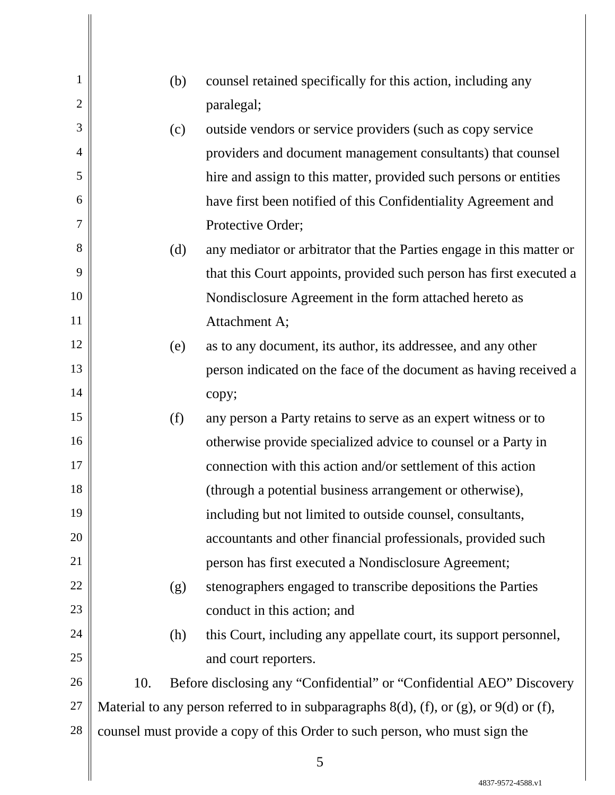| 1              |     | (b) | counsel retained specifically for this action, including any                                |
|----------------|-----|-----|---------------------------------------------------------------------------------------------|
| $\overline{2}$ |     |     | paralegal;                                                                                  |
| 3              |     | (c) | outside vendors or service providers (such as copy service                                  |
| 4              |     |     | providers and document management consultants) that counsel                                 |
| 5              |     |     | hire and assign to this matter, provided such persons or entities                           |
| 6              |     |     | have first been notified of this Confidentiality Agreement and                              |
| 7              |     |     | Protective Order;                                                                           |
| 8              |     | (d) | any mediator or arbitrator that the Parties engage in this matter or                        |
| 9              |     |     | that this Court appoints, provided such person has first executed a                         |
| 10             |     |     | Nondisclosure Agreement in the form attached hereto as                                      |
| 11             |     |     | Attachment A;                                                                               |
| 12             |     | (e) | as to any document, its author, its addressee, and any other                                |
| 13             |     |     | person indicated on the face of the document as having received a                           |
| 14             |     |     | copy;                                                                                       |
| 15             |     | (f) | any person a Party retains to serve as an expert witness or to                              |
| 16             |     |     | otherwise provide specialized advice to counsel or a Party in                               |
| 17             |     |     | connection with this action and/or settlement of this action                                |
| 18             |     |     | (through a potential business arrangement or otherwise),                                    |
| 19             |     |     | including but not limited to outside counsel, consultants,                                  |
| 20             |     |     | accountants and other financial professionals, provided such                                |
| 21             |     |     | person has first executed a Nondisclosure Agreement;                                        |
| 22             |     | (g) | stenographers engaged to transcribe depositions the Parties                                 |
| 23             |     |     | conduct in this action; and                                                                 |
| 24             |     | (h) | this Court, including any appellate court, its support personnel,                           |
| 25             |     |     | and court reporters.                                                                        |
| 26             | 10. |     | Before disclosing any "Confidential" or "Confidential AEO" Discovery                        |
| 27             |     |     | Material to any person referred to in subparagraphs $8(d)$ , (f), or (g), or $9(d)$ or (f), |
| 28             |     |     | counsel must provide a copy of this Order to such person, who must sign the                 |
|                |     |     |                                                                                             |

4837-9572-4588.v1

 $\parallel$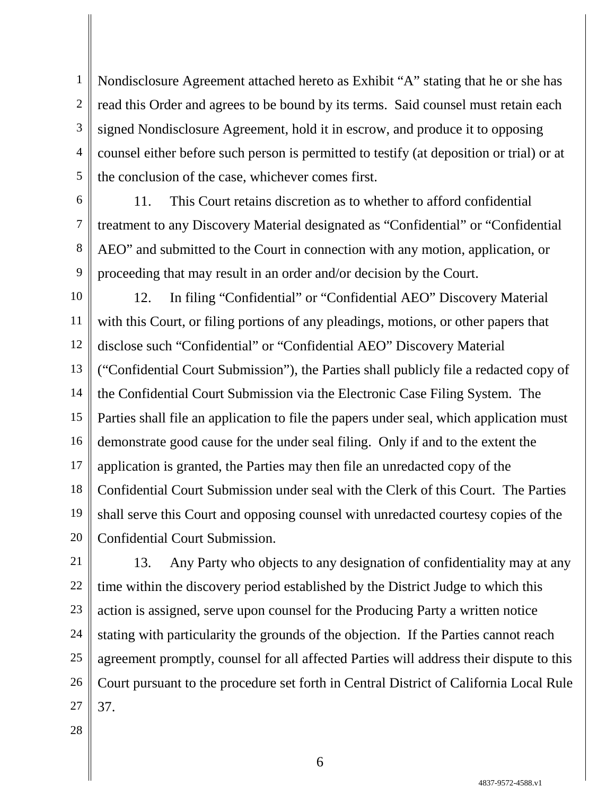1 2 3 4 5 Nondisclosure Agreement attached hereto as Exhibit "A" stating that he or she has read this Order and agrees to be bound by its terms. Said counsel must retain each signed Nondisclosure Agreement, hold it in escrow, and produce it to opposing counsel either before such person is permitted to testify (at deposition or trial) or at the conclusion of the case, whichever comes first.

6 7 8 9 11. This Court retains discretion as to whether to afford confidential treatment to any Discovery Material designated as "Confidential" or "Confidential AEO" and submitted to the Court in connection with any motion, application, or proceeding that may result in an order and/or decision by the Court.

10 11 12 13 14 15 16 17 18 19 20 12. In filing "Confidential" or "Confidential AEO" Discovery Material with this Court, or filing portions of any pleadings, motions, or other papers that disclose such "Confidential" or "Confidential AEO" Discovery Material ("Confidential Court Submission"), the Parties shall publicly file a redacted copy of the Confidential Court Submission via the Electronic Case Filing System. The Parties shall file an application to file the papers under seal, which application must demonstrate good cause for the under seal filing. Only if and to the extent the application is granted, the Parties may then file an unredacted copy of the Confidential Court Submission under seal with the Clerk of this Court. The Parties shall serve this Court and opposing counsel with unredacted courtesy copies of the Confidential Court Submission.

21 22 23 24 25 26 27 13. Any Party who objects to any designation of confidentiality may at any time within the discovery period established by the District Judge to which this action is assigned, serve upon counsel for the Producing Party a written notice stating with particularity the grounds of the objection. If the Parties cannot reach agreement promptly, counsel for all affected Parties will address their dispute to this Court pursuant to the procedure set forth in Central District of California Local Rule 37.

28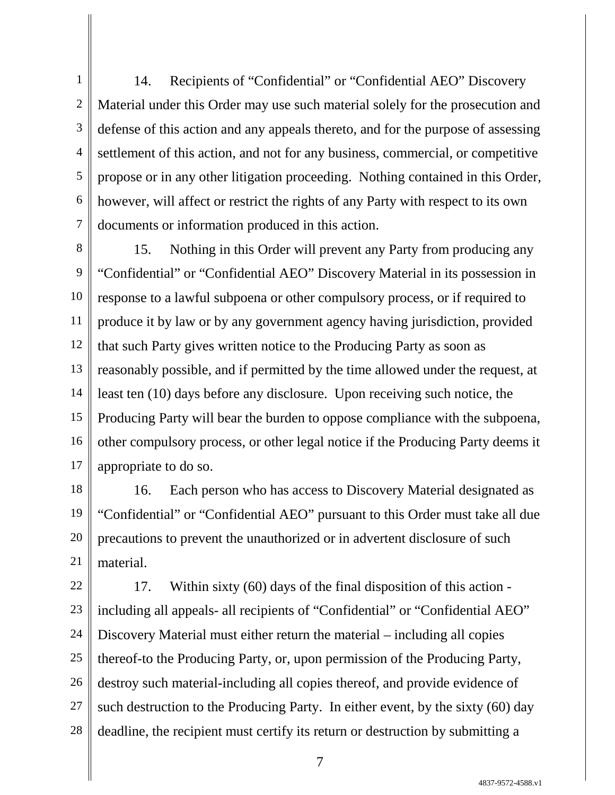1 2 3 4 5 6 7 14. Recipients of "Confidential" or "Confidential AEO" Discovery Material under this Order may use such material solely for the prosecution and defense of this action and any appeals thereto, and for the purpose of assessing settlement of this action, and not for any business, commercial, or competitive propose or in any other litigation proceeding. Nothing contained in this Order, however, will affect or restrict the rights of any Party with respect to its own documents or information produced in this action.

8 9 10 11 12 13 14 15 16 17 15. Nothing in this Order will prevent any Party from producing any "Confidential" or "Confidential AEO" Discovery Material in its possession in response to a lawful subpoena or other compulsory process, or if required to produce it by law or by any government agency having jurisdiction, provided that such Party gives written notice to the Producing Party as soon as reasonably possible, and if permitted by the time allowed under the request, at least ten (10) days before any disclosure. Upon receiving such notice, the Producing Party will bear the burden to oppose compliance with the subpoena, other compulsory process, or other legal notice if the Producing Party deems it appropriate to do so.

18 19 20 21 16. Each person who has access to Discovery Material designated as "Confidential" or "Confidential AEO" pursuant to this Order must take all due precautions to prevent the unauthorized or in advertent disclosure of such material.

22 23 24 25 26 27 28 17. Within sixty (60) days of the final disposition of this action including all appeals- all recipients of "Confidential" or "Confidential AEO" Discovery Material must either return the material – including all copies thereof-to the Producing Party, or, upon permission of the Producing Party, destroy such material-including all copies thereof, and provide evidence of such destruction to the Producing Party. In either event, by the sixty (60) day deadline, the recipient must certify its return or destruction by submitting a

4837-9572-4588.v1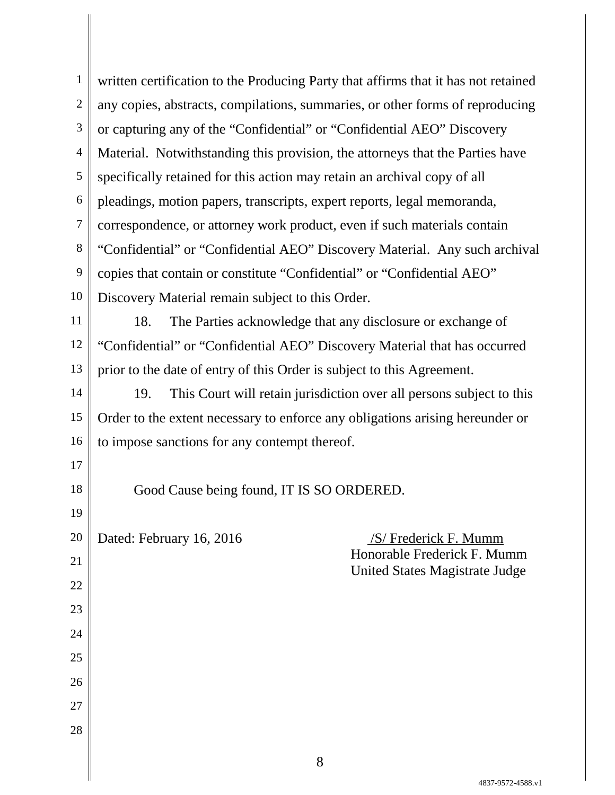1 2 3 4 5 6 7 8 9 10 written certification to the Producing Party that affirms that it has not retained any copies, abstracts, compilations, summaries, or other forms of reproducing or capturing any of the "Confidential" or "Confidential AEO" Discovery Material. Notwithstanding this provision, the attorneys that the Parties have specifically retained for this action may retain an archival copy of all pleadings, motion papers, transcripts, expert reports, legal memoranda, correspondence, or attorney work product, even if such materials contain "Confidential" or "Confidential AEO" Discovery Material. Any such archival copies that contain or constitute "Confidential" or "Confidential AEO" Discovery Material remain subject to this Order.

11 12 13 18. The Parties acknowledge that any disclosure or exchange of "Confidential" or "Confidential AEO" Discovery Material that has occurred prior to the date of entry of this Order is subject to this Agreement.

14 15 16 19. This Court will retain jurisdiction over all persons subject to this Order to the extent necessary to enforce any obligations arising hereunder or to impose sanctions for any contempt thereof.

Good Cause being found, IT IS SO ORDERED.

20

17

18

19

21

22

23

24

25

26

27

28

Dated: February 16, 2016 /S/ Frederick F. Mumm Honorable Frederick F. Mumm United States Magistrate Judge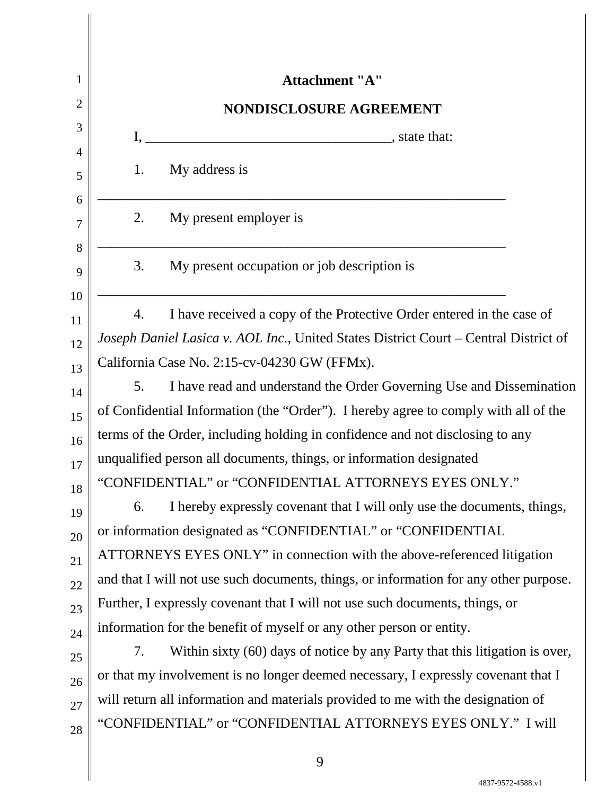| 1              | <b>Attachment "A"</b>                                                                 |  |  |  |  |
|----------------|---------------------------------------------------------------------------------------|--|--|--|--|
| $\overline{c}$ | NONDISCLOSURE AGREEMENT                                                               |  |  |  |  |
| 3              | I,                                                                                    |  |  |  |  |
| 4              | My address is<br>1.                                                                   |  |  |  |  |
| 5              |                                                                                       |  |  |  |  |
| 6<br>7         | My present employer is<br>2.                                                          |  |  |  |  |
| 8              |                                                                                       |  |  |  |  |
| 9              | My present occupation or job description is<br>3.                                     |  |  |  |  |
| 10             |                                                                                       |  |  |  |  |
| 11             | I have received a copy of the Protective Order entered in the case of<br>4.           |  |  |  |  |
| 12             | Joseph Daniel Lasica v. AOL Inc., United States District Court - Central District of  |  |  |  |  |
| 13             | California Case No. 2:15-cv-04230 GW (FFMx).                                          |  |  |  |  |
| 14             | I have read and understand the Order Governing Use and Dissemination<br>5.            |  |  |  |  |
| 15             | of Confidential Information (the "Order"). I hereby agree to comply with all of the   |  |  |  |  |
| 16             | terms of the Order, including holding in confidence and not disclosing to any         |  |  |  |  |
| 17             | unqualified person all documents, things, or information designated                   |  |  |  |  |
| 18             | "CONFIDENTIAL" or "CONFIDENTIAL ATTORNEYS EYES ONLY."                                 |  |  |  |  |
| 19             | I hereby expressly covenant that I will only use the documents, things,<br>6.         |  |  |  |  |
| 20             | or information designated as "CONFIDENTIAL" or "CONFIDENTIAL                          |  |  |  |  |
| 21             | ATTORNEYS EYES ONLY" in connection with the above-referenced litigation               |  |  |  |  |
| 22             | and that I will not use such documents, things, or information for any other purpose. |  |  |  |  |
| 23             | Further, I expressly covenant that I will not use such documents, things, or          |  |  |  |  |
| 24             | information for the benefit of myself or any other person or entity.                  |  |  |  |  |
| 25             | Within sixty (60) days of notice by any Party that this litigation is over,<br>7.     |  |  |  |  |
| 26             | or that my involvement is no longer deemed necessary, I expressly covenant that I     |  |  |  |  |
| 27             | will return all information and materials provided to me with the designation of      |  |  |  |  |
| 28             | "CONFIDENTIAL" or "CONFIDENTIAL ATTORNEYS EYES ONLY." I will                          |  |  |  |  |
|                |                                                                                       |  |  |  |  |